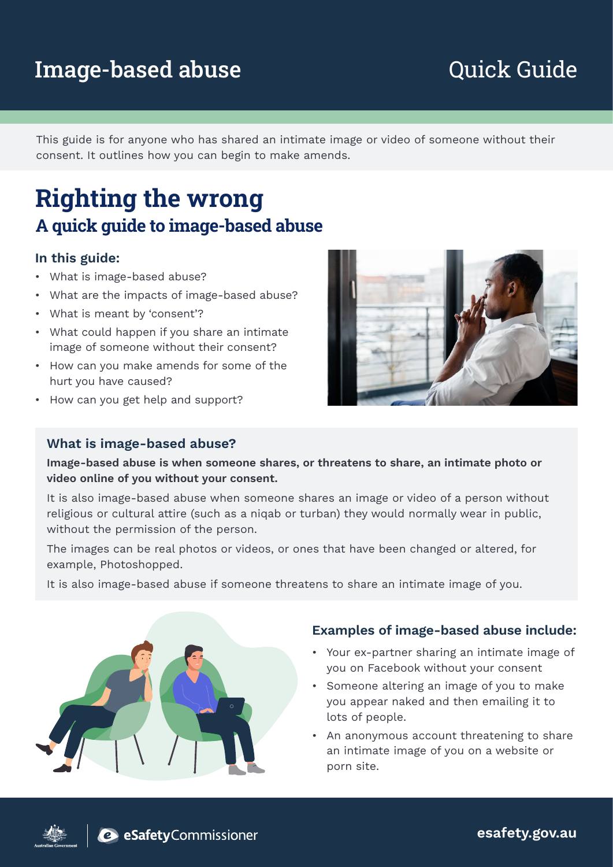# Image-based abuse **Example 20 Figure 20 Aurele 12 Figure 20 Figure 20 Aurele 12 Figure 20 Aurele 12 Figure 20 Figure 20 Aurele 12 Figure 20 Aurele 12 Figure 20 Aurele 12 Figure 20 Aurele 12 Figure 20 Aurele 12 Figure 20 Au**

This guide is for anyone who has shared an intimate image or video of someone without their consent. It outlines how you can begin to make amends.

# **Righting the wrong A quick guide to image-based abuse**

### In this guide:

- What is image-based abuse?
- What are the impacts of image-based abuse?
- What is meant by 'consent'?
- What could happen if you share an intimate image of someone without their consent?
- How can you make amends for some of the hurt you have caused?
- How can you get help and support?

### What is image-based abuse?

Image-based abuse is when someone shares, or threatens to share, an intimate photo or video online of you without your consent.

It is also image-based abuse when someone shares an image or video of a person without religious or cultural attire (such as a niqab or turban) they would normally wear in public, without the permission of the person.

The images can be real photos or videos, or ones that have been changed or altered, for example, Photoshopped.

It is also image-based abuse if someone threatens to share an intimate image of you.



### Examples of image-based abuse include:

- Your ex-partner sharing an intimate image of you on Facebook without your consent
- Someone altering an image of you to make you appear naked and then emailing it to lots of people.
- An anonymous account threatening to share an intimate image of you on a website or porn site.



esafety.gov.au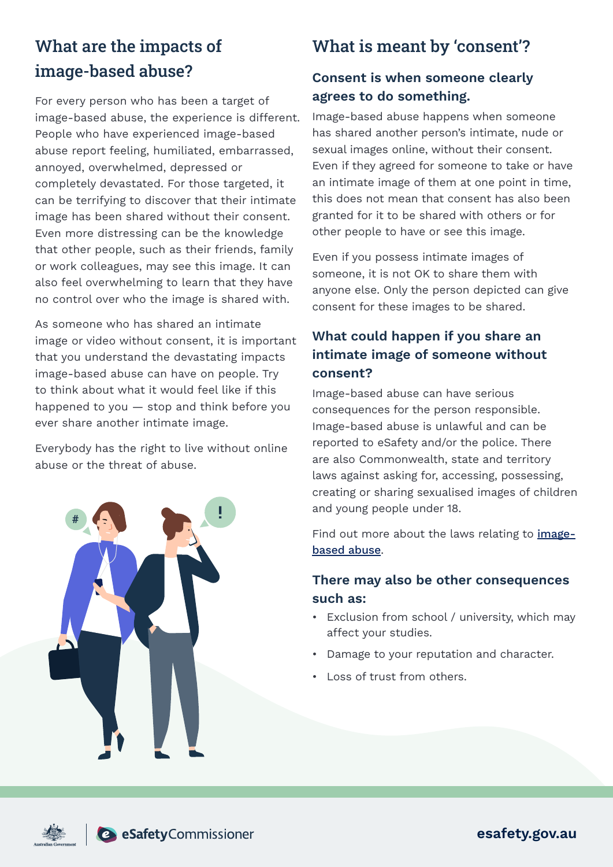## What are the impacts of image-based abuse?

For every person who has been a target of image-based abuse, the experience is different. People who have experienced image-based abuse report feeling, humiliated, embarrassed, annoyed, overwhelmed, depressed or completely devastated. For those targeted, it can be terrifying to discover that their intimate image has been shared without their consent. Even more distressing can be the knowledge that other people, such as their friends, family or work colleagues, may see this image. It can also feel overwhelming to learn that they have no control over who the image is shared with.

As someone who has shared an intimate image or video without consent, it is important that you understand the devastating impacts image-based abuse can have on people. Try to think about what it would feel like if this happened to you — stop and think before you ever share another intimate image.

Everybody has the right to live without online abuse or the threat of abuse.



## What is meant by 'consent'?

## Consent is when someone clearly agrees to do something.

Image-based abuse happens when someone has shared another person's intimate, nude or sexual images online, without their consent. Even if they agreed for someone to take or have an intimate image of them at one point in time, this does not mean that consent has also been granted for it to be shared with others or for other people to have or see this image.

Even if you possess intimate images of someone, it is not OK to share them with anyone else. Only the person depicted can give consent for these images to be shared.

## What could happen if you share an intimate image of someone without consent?

Image-based abuse can have serious consequences for the person responsible. Image-based abuse is unlawful and can be reported to eSafety and/or the police. There are also Commonwealth, state and territory laws against asking for, accessing, possessing, creating or sharing sexualised images of children and young people under 18.

Find out more about the laws relating to *image*[based abuse](https://www.esafety.gov.au/key-issues/image-based-abuse/legal-assistance/law-in-my-state-territory).

## There may also be other consequences such as:

- Exclusion from school / university, which may affect your studies.
- Damage to your reputation and character.
- Loss of trust from others.



esafety.gov.au